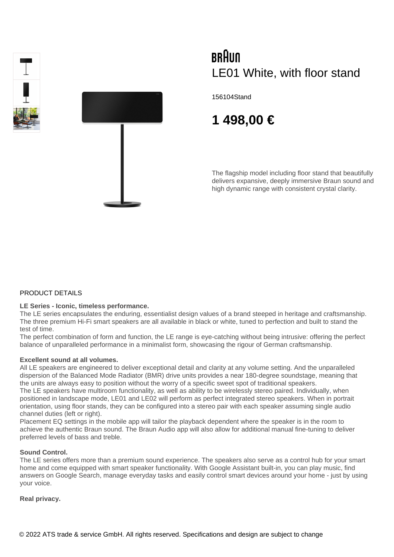



# BRAUN LE01 White, with floor stand

156104Stand

# **1 498,00 €**

The flagship model including floor stand that beautifully delivers expansive, deeply immersive Braun sound and high dynamic range with consistent crystal clarity.

#### PRODUCT DETAILS

#### **LE Series - Iconic, timeless performance.**

The LE series encapsulates the enduring, essentialist design values of a brand steeped in heritage and craftsmanship. The three premium Hi-Fi smart speakers are all available in black or white, tuned to perfection and built to stand the test of time.

The perfect combination of form and function, the LE range is eye-catching without being intrusive: offering the perfect balance of unparalleled performance in a minimalist form, showcasing the rigour of German craftsmanship.

#### **Excellent sound at all volumes.**

All LE speakers are engineered to deliver exceptional detail and clarity at any volume setting. And the unparalleled dispersion of the Balanced Mode Radiator (BMR) drive units provides a near 180-degree soundstage, meaning that the units are always easy to position without the worry of a specific sweet spot of traditional speakers.

The LE speakers have multiroom functionality, as well as ability to be wirelessly stereo paired. Individually, when positioned in landscape mode, LE01 and LE02 will perform as perfect integrated stereo speakers. When in portrait orientation, using floor stands, they can be configured into a stereo pair with each speaker assuming single audio channel duties (left or right).

Placement EQ settings in the mobile app will tailor the playback dependent where the speaker is in the room to achieve the authentic Braun sound. The Braun Audio app will also allow for additional manual fine-tuning to deliver preferred levels of bass and treble.

#### **Sound Control.**

The LE series offers more than a premium sound experience. The speakers also serve as a control hub for your smart home and come equipped with smart speaker functionality. With Google Assistant built-in, you can play music, find answers on Google Search, manage everyday tasks and easily control smart devices around your home - just by using your voice.

#### **Real privacy.**